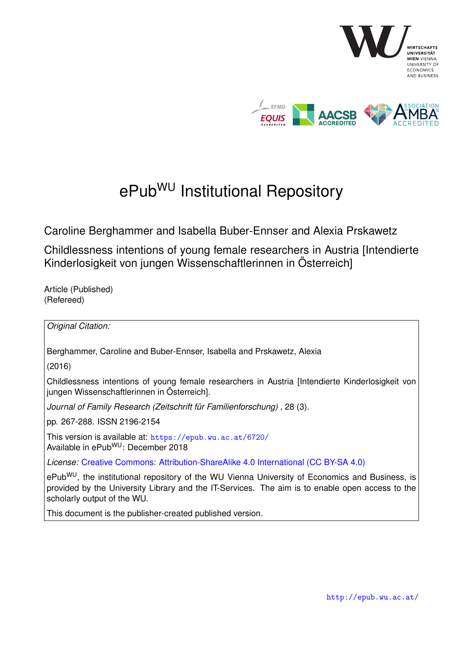

# ePub<sup>WU</sup> Institutional Repository

Caroline Berghammer and Isabella Buber-Ennser and Alexia Prskawetz

Childlessness intentions of young female researchers in Austria [Intendierte Kinderlosigkeit von jungen Wissenschaftlerinnen in Österreich]

Article (Published) (Refereed)

*Original Citation:*

Berghammer, Caroline and Buber-Ennser, Isabella and Prskawetz, Alexia

(2016)

Childlessness intentions of young female researchers in Austria [Intendierte Kinderlosigkeit von jungen Wissenschaftlerinnen in Österreich].

*Journal of Family Research (Zeitschrift für Familienforschung)* , 28 (3).

pp. 267-288. ISSN 2196-2154

This version is available at: <https://epub.wu.ac.at/6720/> Available in ePubWU: December 2018

*License:* [Creative Commons: Attribution-ShareAlike 4.0 International \(CC BY-SA 4.0\)](https://creativecommons.org/licenses/by-sa/4.0/deed.en)

ePub<sup>WU</sup>, the institutional repository of the WU Vienna University of Economics and Business, is provided by the University Library and the IT-Services. The aim is to enable open access to the scholarly output of the WU.

This document is the publisher-created published version.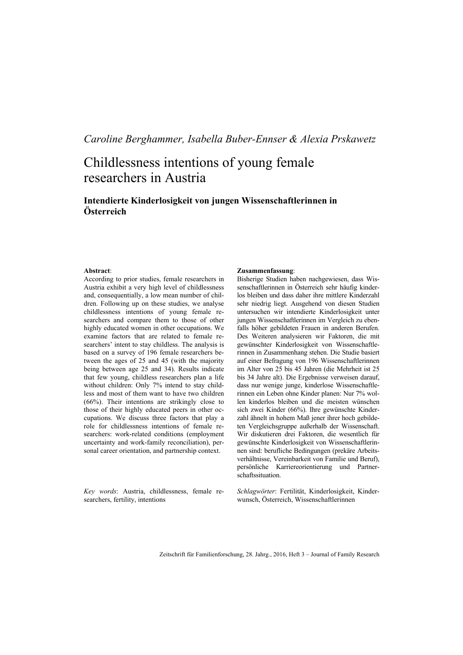# *Caroline Berghammer, Isabella Buber-Ennser & Alexia Prskawetz*

# Childlessness intentions of young female researchers in Austria

### **Intendierte Kinderlosigkeit von jungen Wissenschaftlerinnen in Österreich**

#### **Abstract**:

According to prior studies, female researchers in Austria exhibit a very high level of childlessness and, consequentially, a low mean number of children. Following up on these studies, we analyse childlessness intentions of young female researchers and compare them to those of other highly educated women in other occupations. We examine factors that are related to female researchers' intent to stay childless. The analysis is based on a survey of 196 female researchers between the ages of 25 and 45 (with the majority being between age 25 and 34). Results indicate that few young, childless researchers plan a life without children: Only 7% intend to stay childless and most of them want to have two children (66%). Their intentions are strikingly close to those of their highly educated peers in other occupations. We discuss three factors that play a role for childlessness intentions of female researchers: work-related conditions (employment uncertainty and work-family reconciliation), personal career orientation, and partnership context.

*Key words*: Austria, childlessness, female researchers, fertility, intentions

#### **Zusammenfassung**:

Bisherige Studien haben nachgewiesen, dass Wissenschaftlerinnen in Österreich sehr häufig kinderlos bleiben und dass daher ihre mittlere Kinderzahl sehr niedrig liegt. Ausgehend von diesen Studien untersuchen wir intendierte Kinderlosigkeit unter jungen Wissenschaftlerinnen im Vergleich zu ebenfalls höher gebildeten Frauen in anderen Berufen. Des Weiteren analysieren wir Faktoren, die mit gewünschter Kinderlosigkeit von Wissenschaftlerinnen in Zusammenhang stehen. Die Studie basiert auf einer Befragung von 196 Wissenschaftlerinnen im Alter von 25 bis 45 Jahren (die Mehrheit ist 25 bis 34 Jahre alt). Die Ergebnisse verweisen darauf, dass nur wenige junge, kinderlose Wissenschaftlerinnen ein Leben ohne Kinder planen: Nur 7% wollen kinderlos bleiben und die meisten wünschen sich zwei Kinder (66%). Ihre gewünschte Kinderzahl ähnelt in hohem Maß jener ihrer hoch gebildeten Vergleichsgruppe außerhalb der Wissenschaft. Wir diskutieren drei Faktoren, die wesentlich für gewünschte Kinderlosigkeit von Wissenschaftlerinnen sind: berufliche Bedingungen (prekäre Arbeitsverhältnisse, Vereinbarkeit von Familie und Beruf), persönliche Karriereorientierung und Partnerschaftssituation.

*Schlagwörter*: Fertilität, Kinderlosigkeit, Kinderwunsch, Österreich, Wissenschaftlerinnen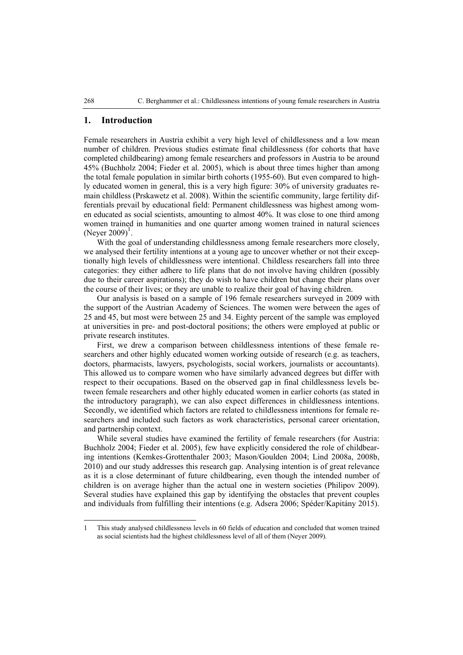#### **1. Introduction**

Female researchers in Austria exhibit a very high level of childlessness and a low mean number of children. Previous studies estimate final childlessness (for cohorts that have completed childbearing) among female researchers and professors in Austria to be around 45% (Buchholz 2004; Fieder et al. 2005), which is about three times higher than among the total female population in similar birth cohorts (1955-60). But even compared to highly educated women in general, this is a very high figure: 30% of university graduates remain childless (Prskawetz et al. 2008). Within the scientific community, large fertility differentials prevail by educational field: Permanent childlessness was highest among women educated as social scientists, amounting to almost 40%. It was close to one third among women trained in humanities and one quarter among women trained in natural sciences (Neyer 2009)<sup>1</sup>.

With the goal of understanding childlessness among female researchers more closely, we analysed their fertility intentions at a young age to uncover whether or not their exceptionally high levels of childlessness were intentional. Childless researchers fall into three categories: they either adhere to life plans that do not involve having children (possibly due to their career aspirations); they do wish to have children but change their plans over the course of their lives; or they are unable to realize their goal of having children.

Our analysis is based on a sample of 196 female researchers surveyed in 2009 with the support of the Austrian Academy of Sciences. The women were between the ages of 25 and 45, but most were between 25 and 34. Eighty percent of the sample was employed at universities in pre- and post-doctoral positions; the others were employed at public or private research institutes.

First, we drew a comparison between childlessness intentions of these female researchers and other highly educated women working outside of research (e.g. as teachers, doctors, pharmacists, lawyers, psychologists, social workers, journalists or accountants). This allowed us to compare women who have similarly advanced degrees but differ with respect to their occupations. Based on the observed gap in final childlessness levels between female researchers and other highly educated women in earlier cohorts (as stated in the introductory paragraph), we can also expect differences in childlessness intentions. Secondly, we identified which factors are related to childlessness intentions for female researchers and included such factors as work characteristics, personal career orientation, and partnership context.

While several studies have examined the fertility of female researchers (for Austria: Buchholz 2004; Fieder et al. 2005), few have explicitly considered the role of childbearing intentions (Kemkes-Grottenthaler 2003; Mason/Goulden 2004; Lind 2008a, 2008b, 2010) and our study addresses this research gap. Analysing intention is of great relevance as it is a close determinant of future childbearing, even though the intended number of children is on average higher than the actual one in western societies (Philipov 2009). Several studies have explained this gap by identifying the obstacles that prevent couples and individuals from fulfilling their intentions (e.g. Adsera 2006; Spéder/Kapitány 2015).

 $\overline{a}$ 

<sup>1</sup> This study analysed childlessness levels in 60 fields of education and concluded that women trained as social scientists had the highest childlessness level of all of them (Neyer 2009).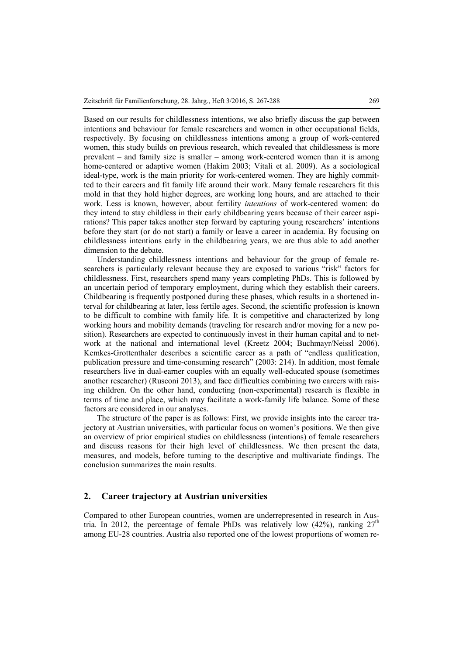Based on our results for childlessness intentions, we also briefly discuss the gap between intentions and behaviour for female researchers and women in other occupational fields, respectively. By focusing on childlessness intentions among a group of work-centered women, this study builds on previous research, which revealed that childlessness is more prevalent – and family size is smaller – among work-centered women than it is among home-centered or adaptive women (Hakim 2003; Vitali et al. 2009). As a sociological ideal-type, work is the main priority for work-centered women. They are highly committed to their careers and fit family life around their work. Many female researchers fit this mold in that they hold higher degrees, are working long hours, and are attached to their work. Less is known, however, about fertility *intentions* of work-centered women: do they intend to stay childless in their early childbearing years because of their career aspirations? This paper takes another step forward by capturing young researchers' intentions before they start (or do not start) a family or leave a career in academia. By focusing on childlessness intentions early in the childbearing years, we are thus able to add another dimension to the debate.

Understanding childlessness intentions and behaviour for the group of female researchers is particularly relevant because they are exposed to various "risk" factors for childlessness. First, researchers spend many years completing PhDs. This is followed by an uncertain period of temporary employment, during which they establish their careers. Childbearing is frequently postponed during these phases, which results in a shortened interval for childbearing at later, less fertile ages. Second, the scientific profession is known to be difficult to combine with family life. It is competitive and characterized by long working hours and mobility demands (traveling for research and/or moving for a new position). Researchers are expected to continuously invest in their human capital and to network at the national and international level (Kreetz 2004; Buchmayr/Neissl 2006). Kemkes-Grottenthaler describes a scientific career as a path of "endless qualification, publication pressure and time-consuming research" (2003: 214). In addition, most female researchers live in dual-earner couples with an equally well-educated spouse (sometimes another researcher) (Rusconi 2013), and face difficulties combining two careers with raising children. On the other hand, conducting (non-experimental) research is flexible in terms of time and place, which may facilitate a work-family life balance. Some of these factors are considered in our analyses.

The structure of the paper is as follows: First, we provide insights into the career trajectory at Austrian universities, with particular focus on women's positions. We then give an overview of prior empirical studies on childlessness (intentions) of female researchers and discuss reasons for their high level of childlessness. We then present the data, measures, and models, before turning to the descriptive and multivariate findings. The conclusion summarizes the main results.

#### **2. Career trajectory at Austrian universities**

Compared to other European countries, women are underrepresented in research in Austria. In 2012, the percentage of female PhDs was relatively low  $(42\%)$ , ranking  $27<sup>th</sup>$ among EU-28 countries. Austria also reported one of the lowest proportions of women re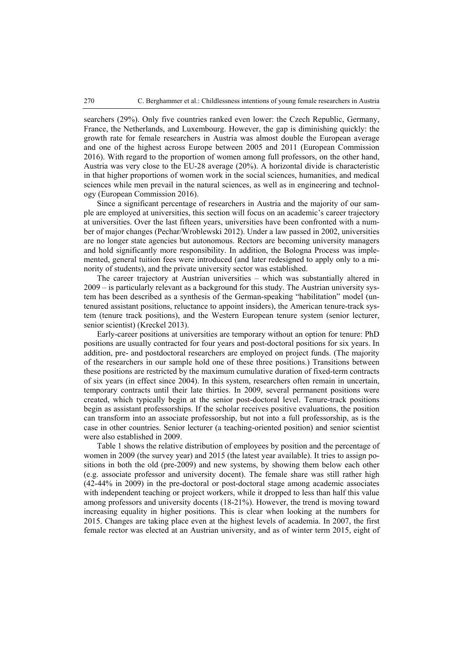searchers (29%). Only five countries ranked even lower: the Czech Republic, Germany, France, the Netherlands, and Luxembourg. However, the gap is diminishing quickly: the growth rate for female researchers in Austria was almost double the European average and one of the highest across Europe between 2005 and 2011 (European Commission 2016). With regard to the proportion of women among full professors, on the other hand, Austria was very close to the EU-28 average (20%). A horizontal divide is characteristic in that higher proportions of women work in the social sciences, humanities, and medical sciences while men prevail in the natural sciences, as well as in engineering and technology (European Commission 2016).

Since a significant percentage of researchers in Austria and the majority of our sample are employed at universities, this section will focus on an academic's career trajectory at universities. Over the last fifteen years, universities have been confronted with a number of major changes (Pechar/Wroblewski 2012). Under a law passed in 2002, universities are no longer state agencies but autonomous. Rectors are becoming university managers and hold significantly more responsibility. In addition, the Bologna Process was implemented, general tuition fees were introduced (and later redesigned to apply only to a minority of students), and the private university sector was established.

The career trajectory at Austrian universities – which was substantially altered in 2009 – is particularly relevant as a background for this study. The Austrian university system has been described as a synthesis of the German-speaking "habilitation" model (untenured assistant positions, reluctance to appoint insiders), the American tenure-track system (tenure track positions), and the Western European tenure system (senior lecturer, senior scientist) (Kreckel 2013).

Early-career positions at universities are temporary without an option for tenure: PhD positions are usually contracted for four years and post-doctoral positions for six years. In addition, pre- and postdoctoral researchers are employed on project funds. (The majority of the researchers in our sample hold one of these three positions.) Transitions between these positions are restricted by the maximum cumulative duration of fixed-term contracts of six years (in effect since 2004). In this system, researchers often remain in uncertain, temporary contracts until their late thirties. In 2009, several permanent positions were created, which typically begin at the senior post-doctoral level. Tenure-track positions begin as assistant professorships. If the scholar receives positive evaluations, the position can transform into an associate professorship, but not into a full professorship, as is the case in other countries. Senior lecturer (a teaching-oriented position) and senior scientist were also established in 2009.

Table 1 shows the relative distribution of employees by position and the percentage of women in 2009 (the survey year) and 2015 (the latest year available). It tries to assign positions in both the old (pre-2009) and new systems, by showing them below each other (e.g. associate professor and university docent). The female share was still rather high (42-44% in 2009) in the pre-doctoral or post-doctoral stage among academic associates with independent teaching or project workers, while it dropped to less than half this value among professors and university docents (18-21%). However, the trend is moving toward increasing equality in higher positions. This is clear when looking at the numbers for 2015. Changes are taking place even at the highest levels of academia. In 2007, the first female rector was elected at an Austrian university, and as of winter term 2015, eight of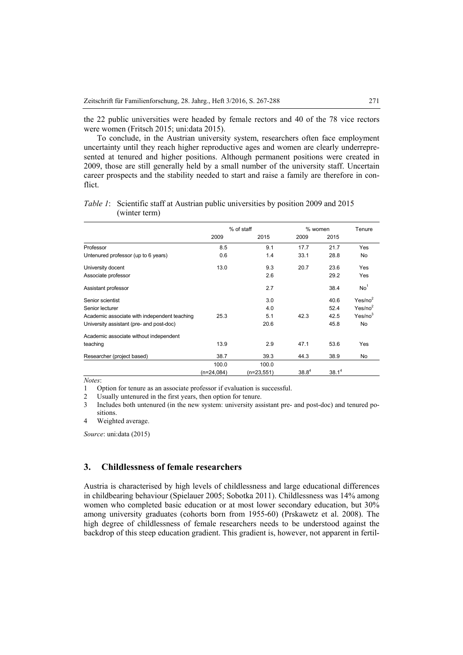the 22 public universities were headed by female rectors and 40 of the 78 vice rectors were women (Fritsch 2015; uni:data 2015).

To conclude, in the Austrian university system, researchers often face employment uncertainty until they reach higher reproductive ages and women are clearly underrepresented at tenured and higher positions. Although permanent positions were created in 2009, those are still generally held by a small number of the university staff. Uncertain career prospects and the stability needed to start and raise a family are therefore in conflict.

|                                              | % of staff   |              | % women           |                   | Tenure              |
|----------------------------------------------|--------------|--------------|-------------------|-------------------|---------------------|
|                                              | 2009         | 2015         | 2009              | 2015              |                     |
| Professor                                    | 8.5          | 9.1          | 17.7              | 21.7              | Yes                 |
| Untenured professor (up to 6 years)          | 0.6          | 1.4          | 33.1              | 28.8              | No                  |
| University docent                            | 13.0         | 9.3          | 20.7              | 23.6              | Yes                 |
| Associate professor                          |              | 2.6          |                   | 29.2              | Yes                 |
| Assistant professor                          |              | 2.7          |                   | 38.4              | No <sup>1</sup>     |
| Senior scientist                             |              | 3.0          |                   | 40.6              | Yes/no <sup>2</sup> |
| Senior lecturer                              |              | 4.0          |                   | 52.4              | Yes/no <sup>2</sup> |
| Academic associate with independent teaching | 25.3         | 5.1          | 42.3              | 42.5              | Yes/no <sup>3</sup> |
| University assistant (pre- and post-doc)     |              | 20.6         |                   | 45.8              | No                  |
| Academic associate without independent       |              |              |                   |                   |                     |
| teaching                                     | 13.9         | 2.9          | 47.1              | 53.6              | Yes                 |
| Researcher (project based)                   | 38.7         | 39.3         | 44.3              | 38.9              | No                  |
|                                              | 100.0        | 100.0        |                   |                   |                     |
|                                              | $(n=24,084)$ | $(n=23,551)$ | 38.8 <sup>4</sup> | 38.1 <sup>4</sup> |                     |

*Table 1*: Scientific staff at Austrian public universities by position 2009 and 2015 (winter term)

*Notes*:

1 Option for tenure as an associate professor if evaluation is successful.

2 Usually untenured in the first years, then option for tenure.

3 Includes both untenured (in the new system: university assistant pre- and post-doc) and tenured positions.

4 Weighted average.

*Source*: uni:data (2015)

#### **3. Childlessness of female researchers**

Austria is characterised by high levels of childlessness and large educational differences in childbearing behaviour (Spielauer 2005; Sobotka 2011). Childlessness was 14% among women who completed basic education or at most lower secondary education, but 30% among university graduates (cohorts born from 1955-60) (Prskawetz et al. 2008). The high degree of childlessness of female researchers needs to be understood against the backdrop of this steep education gradient. This gradient is, however, not apparent in fertil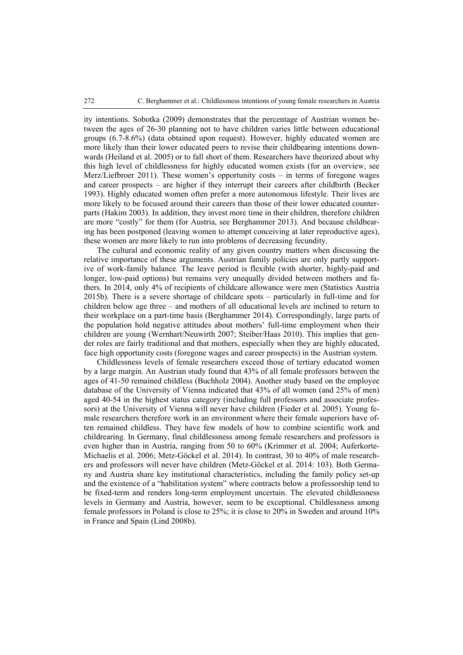ity intentions. Sobotka (2009) demonstrates that the percentage of Austrian women between the ages of 26-30 planning not to have children varies little between educational groups (6.7-8.6%) (data obtained upon request). However, highly educated women are more likely than their lower educated peers to revise their childbearing intentions downwards (Heiland et al. 2005) or to fall short of them. Researchers have theorized about why this high level of childlessness for highly educated women exists (for an overview, see Merz/Liefbroer 2011). These women's opportunity costs – in terms of foregone wages and career prospects – are higher if they interrupt their careers after childbirth (Becker 1993). Highly educated women often prefer a more autonomous lifestyle. Their lives are more likely to be focused around their careers than those of their lower educated counterparts (Hakim 2003). In addition, they invest more time in their children, therefore children are more "costly" for them (for Austria, see Berghammer 2013). And because childbearing has been postponed (leaving women to attempt conceiving at later reproductive ages), these women are more likely to run into problems of decreasing fecundity.

The cultural and economic reality of any given country matters when discussing the relative importance of these arguments. Austrian family policies are only partly supportive of work-family balance. The leave period is flexible (with shorter, highly-paid and longer, low-paid options) but remains very unequally divided between mothers and fathers. In 2014, only 4% of recipients of childcare allowance were men (Statistics Austria 2015b). There is a severe shortage of childcare spots – particularly in full-time and for children below age three – and mothers of all educational levels are inclined to return to their workplace on a part-time basis (Berghammer 2014). Correspondingly, large parts of the population hold negative attitudes about mothers' full-time employment when their children are young (Wernhart/Neuwirth 2007; Steiber/Haas 2010). This implies that gender roles are fairly traditional and that mothers, especially when they are highly educated, face high opportunity costs (foregone wages and career prospects) in the Austrian system.

Childlessness levels of female researchers exceed those of tertiary educated women by a large margin. An Austrian study found that 43% of all female professors between the ages of 41-50 remained childless (Buchholz 2004). Another study based on the employee database of the University of Vienna indicated that 43% of all women (and 25% of men) aged 40-54 in the highest status category (including full professors and associate professors) at the University of Vienna will never have children (Fieder et al. 2005). Young female researchers therefore work in an environment where their female superiors have often remained childless. They have few models of how to combine scientific work and childrearing. In Germany, final childlessness among female researchers and professors is even higher than in Austria, ranging from 50 to 60% (Krimmer et al. 2004; Auferkorte-Michaelis et al. 2006; Metz-Göckel et al. 2014). In contrast, 30 to 40% of male researchers and professors will never have children (Metz-Göckel et al. 2014: 103). Both Germany and Austria share key institutional characteristics, including the family policy set-up and the existence of a "habilitation system" where contracts below a professorship tend to be fixed-term and renders long-term employment uncertain. The elevated childlessness levels in Germany and Austria, however, seem to be exceptional. Childlessness among female professors in Poland is close to 25%; it is close to 20% in Sweden and around 10% in France and Spain (Lind 2008b).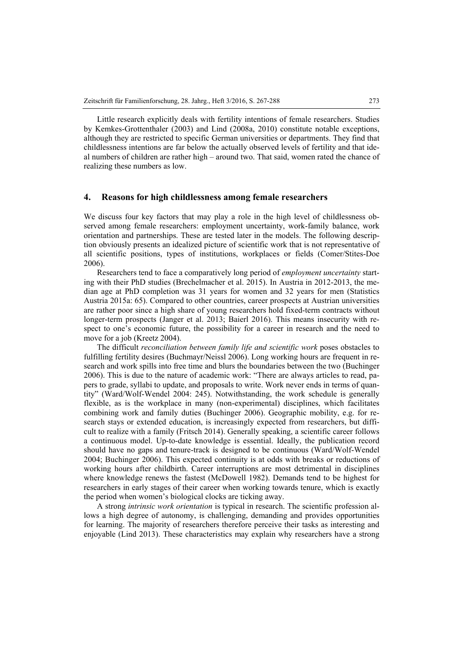Little research explicitly deals with fertility intentions of female researchers. Studies by Kemkes-Grottenthaler (2003) and Lind (2008a, 2010) constitute notable exceptions, although they are restricted to specific German universities or departments. They find that childlessness intentions are far below the actually observed levels of fertility and that ideal numbers of children are rather high – around two. That said, women rated the chance of realizing these numbers as low.

#### **4. Reasons for high childlessness among female researchers**

We discuss four key factors that may play a role in the high level of childlessness observed among female researchers: employment uncertainty, work-family balance, work orientation and partnerships. These are tested later in the models. The following description obviously presents an idealized picture of scientific work that is not representative of all scientific positions, types of institutions, workplaces or fields (Comer/Stites-Doe 2006).

Researchers tend to face a comparatively long period of *employment uncertainty* starting with their PhD studies (Brechelmacher et al. 2015). In Austria in 2012-2013, the median age at PhD completion was 31 years for women and 32 years for men (Statistics Austria 2015a: 65). Compared to other countries, career prospects at Austrian universities are rather poor since a high share of young researchers hold fixed-term contracts without longer-term prospects (Janger et al. 2013; Baierl 2016). This means insecurity with respect to one's economic future, the possibility for a career in research and the need to move for a job (Kreetz 2004).

The difficult *reconciliation between family life and scientific work* poses obstacles to fulfilling fertility desires (Buchmayr/Neissl 2006). Long working hours are frequent in research and work spills into free time and blurs the boundaries between the two (Buchinger 2006). This is due to the nature of academic work: "There are always articles to read, papers to grade, syllabi to update, and proposals to write. Work never ends in terms of quantity" (Ward/Wolf-Wendel 2004: 245). Notwithstanding, the work schedule is generally flexible, as is the workplace in many (non-experimental) disciplines, which facilitates combining work and family duties (Buchinger 2006). Geographic mobility, e.g. for research stays or extended education, is increasingly expected from researchers, but difficult to realize with a family (Fritsch 2014). Generally speaking, a scientific career follows a continuous model. Up-to-date knowledge is essential. Ideally, the publication record should have no gaps and tenure-track is designed to be continuous (Ward/Wolf-Wendel 2004; Buchinger 2006). This expected continuity is at odds with breaks or reductions of working hours after childbirth. Career interruptions are most detrimental in disciplines where knowledge renews the fastest (McDowell 1982). Demands tend to be highest for researchers in early stages of their career when working towards tenure, which is exactly the period when women's biological clocks are ticking away.

A strong *intrinsic work orientation* is typical in research. The scientific profession allows a high degree of autonomy, is challenging, demanding and provides opportunities for learning. The majority of researchers therefore perceive their tasks as interesting and enjoyable (Lind 2013). These characteristics may explain why researchers have a strong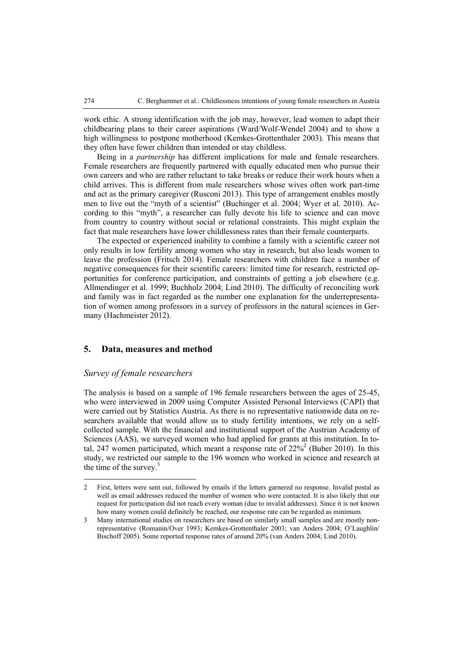work ethic. A strong identification with the job may, however, lead women to adapt their childbearing plans to their career aspirations (Ward/Wolf-Wendel 2004) and to show a high willingness to postpone motherhood (Kemkes-Grottenthaler 2003). This means that they often have fewer children than intended or stay childless.

Being in a *partnership* has different implications for male and female researchers. Female researchers are frequently partnered with equally educated men who pursue their own careers and who are rather reluctant to take breaks or reduce their work hours when a child arrives. This is different from male researchers whose wives often work part-time and act as the primary caregiver (Rusconi 2013). This type of arrangement enables mostly men to live out the "myth of a scientist" (Buchinger et al. 2004; Wyer et al. 2010). According to this "myth", a researcher can fully devote his life to science and can move from country to country without social or relational constraints. This might explain the fact that male researchers have lower childlessness rates than their female counterparts.

The expected or experienced inability to combine a family with a scientific career not only results in low fertility among women who stay in research, but also leads women to leave the profession (Fritsch 2014). Female researchers with children face a number of negative consequences for their scientific careers: limited time for research, restricted opportunities for conference participation, and constraints of getting a job elsewhere (e.g. Allmendinger et al. 1999; Buchholz 2004; Lind 2010). The difficulty of reconciling work and family was in fact regarded as the number one explanation for the underrepresentation of women among professors in a survey of professors in the natural sciences in Germany (Hachmeister 2012).

#### **5. Data, measures and method**

#### *Survey of female researchers*

 $\overline{a}$ 

The analysis is based on a sample of 196 female researchers between the ages of 25-45, who were interviewed in 2009 using Computer Assisted Personal Interviews (CAPI) that were carried out by Statistics Austria. As there is no representative nationwide data on researchers available that would allow us to study fertility intentions, we rely on a selfcollected sample. With the financial and institutional support of the Austrian Academy of Sciences (AAS), we surveyed women who had applied for grants at this institution. In total, 247 women participated, which meant a response rate of  $22\%^2$  (Buber 2010). In this study, we restricted our sample to the 196 women who worked in science and research at the time of the survey. $3$ 

<sup>2</sup> First, letters were sent out, followed by emails if the letters garnered no response. Invalid postal as well as email addresses reduced the number of women who were contacted. It is also likely that our request for participation did not reach every woman (due to invalid addresses). Since it is not known how many women could definitely be reached, our response rate can be regarded as minimum.

<sup>3</sup> Many international studies on researchers are based on similarly small samples and are mostly nonrepresentative (Romanin/Over 1993; Kemkes-Grottenthaler 2003; van Anders 2004; O'Laughlin/ Bischoff 2005). Some reported response rates of around 20% (van Anders 2004; Lind 2010).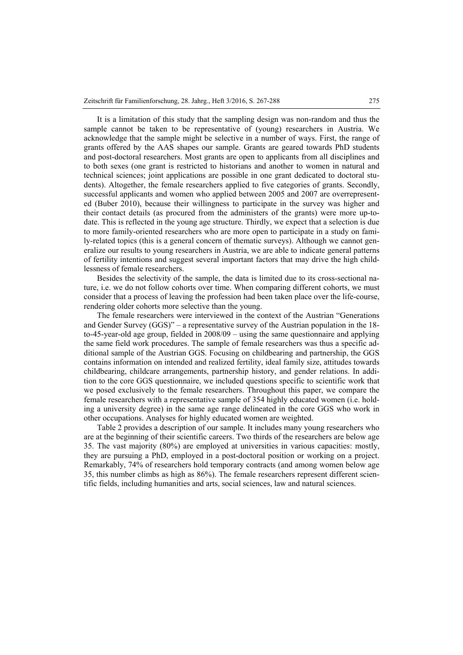It is a limitation of this study that the sampling design was non-random and thus the sample cannot be taken to be representative of (young) researchers in Austria. We acknowledge that the sample might be selective in a number of ways. First, the range of grants offered by the AAS shapes our sample. Grants are geared towards PhD students and post-doctoral researchers. Most grants are open to applicants from all disciplines and to both sexes (one grant is restricted to historians and another to women in natural and technical sciences; joint applications are possible in one grant dedicated to doctoral students). Altogether, the female researchers applied to five categories of grants. Secondly, successful applicants and women who applied between 2005 and 2007 are overrepresented (Buber 2010), because their willingness to participate in the survey was higher and their contact details (as procured from the administers of the grants) were more up-todate. This is reflected in the young age structure. Thirdly, we expect that a selection is due to more family-oriented researchers who are more open to participate in a study on family-related topics (this is a general concern of thematic surveys). Although we cannot generalize our results to young researchers in Austria, we are able to indicate general patterns of fertility intentions and suggest several important factors that may drive the high childlessness of female researchers.

Besides the selectivity of the sample, the data is limited due to its cross-sectional nature, i.e. we do not follow cohorts over time. When comparing different cohorts, we must consider that a process of leaving the profession had been taken place over the life-course, rendering older cohorts more selective than the young.

The female researchers were interviewed in the context of the Austrian "Generations and Gender Survey (GGS)" – a representative survey of the Austrian population in the 18 to-45-year-old age group, fielded in 2008/09 – using the same questionnaire and applying the same field work procedures. The sample of female researchers was thus a specific additional sample of the Austrian GGS. Focusing on childbearing and partnership, the GGS contains information on intended and realized fertility, ideal family size, attitudes towards childbearing, childcare arrangements, partnership history, and gender relations. In addition to the core GGS questionnaire, we included questions specific to scientific work that we posed exclusively to the female researchers. Throughout this paper, we compare the female researchers with a representative sample of 354 highly educated women (i.e. holding a university degree) in the same age range delineated in the core GGS who work in other occupations. Analyses for highly educated women are weighted.

Table 2 provides a description of our sample. It includes many young researchers who are at the beginning of their scientific careers. Two thirds of the researchers are below age 35. The vast majority (80%) are employed at universities in various capacities: mostly, they are pursuing a PhD, employed in a post-doctoral position or working on a project. Remarkably, 74% of researchers hold temporary contracts (and among women below age 35, this number climbs as high as 86%). The female researchers represent different scientific fields, including humanities and arts, social sciences, law and natural sciences.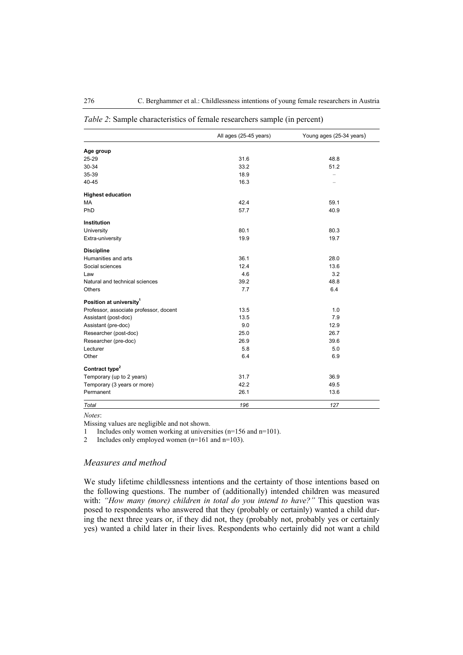|                                        | All ages (25-45 years) | Young ages (25-34 years) |  |  |
|----------------------------------------|------------------------|--------------------------|--|--|
| Age group                              |                        |                          |  |  |
| 25-29                                  | 31.6                   | 48.8                     |  |  |
| 30-34                                  | 33.2                   | 51.2                     |  |  |
| 35-39                                  | 18.9                   |                          |  |  |
| 40-45                                  | 16.3                   |                          |  |  |
| <b>Highest education</b>               |                        |                          |  |  |
| MA                                     | 42.4                   | 59.1                     |  |  |
| PhD                                    | 57.7                   | 40.9                     |  |  |
| Institution                            |                        |                          |  |  |
| University                             | 80.1                   | 80.3                     |  |  |
| Extra-university                       | 19.9                   | 19.7                     |  |  |
| <b>Discipline</b>                      |                        |                          |  |  |
| Humanities and arts                    | 36.1                   | 28.0                     |  |  |
| Social sciences                        | 12.4                   | 13.6                     |  |  |
| Law                                    | 4.6                    | 3.2                      |  |  |
| Natural and technical sciences         | 39.2                   | 48.8                     |  |  |
| Others                                 | 7.7                    | 6.4                      |  |  |
| Position at university <sup>1</sup>    |                        |                          |  |  |
| Professor, associate professor, docent | 13.5                   | 1.0                      |  |  |
| Assistant (post-doc)                   | 13.5                   | 7.9                      |  |  |
| Assistant (pre-doc)                    | 9.0                    | 12.9                     |  |  |
| Researcher (post-doc)                  | 25.0                   | 26.7                     |  |  |
| Researcher (pre-doc)                   | 26.9                   | 39.6                     |  |  |
| Lecturer                               | 5.8                    | 5.0                      |  |  |
| Other                                  | 6.4                    | 6.9                      |  |  |
| Contract type <sup>2</sup>             |                        |                          |  |  |
| Temporary (up to 2 years)              | 31.7                   | 36.9                     |  |  |
| Temporary (3 years or more)            | 42.2                   | 49.5                     |  |  |
| Permanent                              | 26.1                   | 13.6                     |  |  |
| Total                                  | 196                    | 127                      |  |  |

#### *Table 2*: Sample characteristics of female researchers sample (in percent)

*Notes*:

Missing values are negligible and not shown.

1 Includes only women working at universities (n=156 and n=101).

2 Includes only employed women  $(n=161 \text{ and } n=103)$ .

#### *Measures and method*

We study lifetime childlessness intentions and the certainty of those intentions based on the following questions. The number of (additionally) intended children was measured with: *"How many (more) children in total do you intend to have?"* This question was posed to respondents who answered that they (probably or certainly) wanted a child during the next three years or, if they did not, they (probably not, probably yes or certainly yes) wanted a child later in their lives. Respondents who certainly did not want a child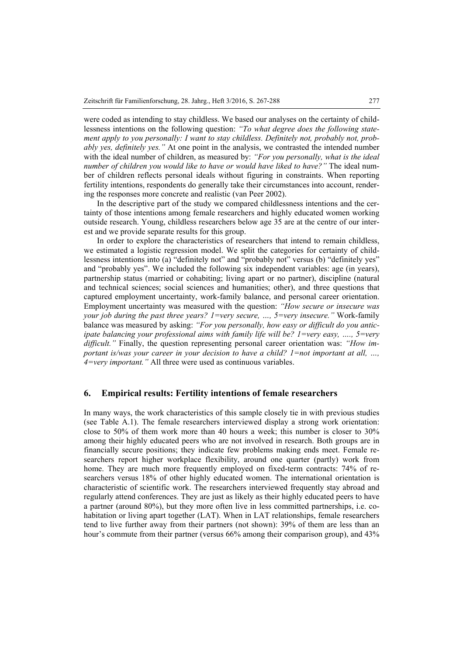were coded as intending to stay childless. We based our analyses on the certainty of childlessness intentions on the following question: *"To what degree does the following state*ment apply to you personally: I want to stay childless. Definitely not, probably not, prob*ably yes, definitely yes."* At one point in the analysis, we contrasted the intended number with the ideal number of children, as measured by: *"For you personally, what is the ideal number of children you would like to have or would have liked to have?"* The ideal number of children reflects personal ideals without figuring in constraints. When reporting fertility intentions, respondents do generally take their circumstances into account, rendering the responses more concrete and realistic (van Peer 2002).

In the descriptive part of the study we compared childlessness intentions and the certainty of those intentions among female researchers and highly educated women working outside research. Young, childless researchers below age 35 are at the centre of our interest and we provide separate results for this group.

In order to explore the characteristics of researchers that intend to remain childless, we estimated a logistic regression model. We split the categories for certainty of childlessness intentions into (a) "definitely not" and "probably not" versus (b) "definitely yes" and "probably yes". We included the following six independent variables: age (in years), partnership status (married or cohabiting; living apart or no partner), discipline (natural and technical sciences; social sciences and humanities; other), and three questions that captured employment uncertainty, work-family balance, and personal career orientation. Employment uncertainty was measured with the question: *"How secure or insecure was your job during the past three years? 1=very secure, …, 5=very insecure."* Work-family balance was measured by asking: *"For you personally, how easy or difficult do you anticipate balancing your professional aims with family life will be? 1=very easy, …., 5=very difficult."* Finally, the question representing personal career orientation was: *"How important is/was your career in your decision to have a child? 1=not important at all, …, 4=very important."* All three were used as continuous variables.

#### **6. Empirical results: Fertility intentions of female researchers**

In many ways, the work characteristics of this sample closely tie in with previous studies (see Table A.1). The female researchers interviewed display a strong work orientation: close to 50% of them work more than 40 hours a week; this number is closer to 30% among their highly educated peers who are not involved in research. Both groups are in financially secure positions; they indicate few problems making ends meet. Female researchers report higher workplace flexibility, around one quarter (partly) work from home. They are much more frequently employed on fixed-term contracts: 74% of researchers versus 18% of other highly educated women. The international orientation is characteristic of scientific work. The researchers interviewed frequently stay abroad and regularly attend conferences. They are just as likely as their highly educated peers to have a partner (around 80%), but they more often live in less committed partnerships, i.e. cohabitation or living apart together (LAT). When in LAT relationships, female researchers tend to live further away from their partners (not shown): 39% of them are less than an hour's commute from their partner (versus 66% among their comparison group), and 43%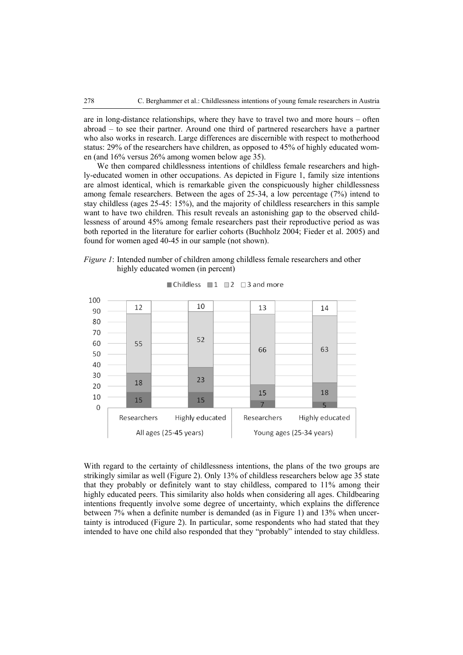are in long-distance relationships, where they have to travel two and more hours – often abroad – to see their partner. Around one third of partnered researchers have a partner who also works in research. Large differences are discernible with respect to motherhood status: 29% of the researchers have children, as opposed to 45% of highly educated women (and 16% versus 26% among women below age 35).

We then compared childlessness intentions of childless female researchers and highly-educated women in other occupations. As depicted in Figure 1, family size intentions are almost identical, which is remarkable given the conspicuously higher childlessness among female researchers. Between the ages of 25-34, a low percentage (7%) intend to stay childless (ages 25-45: 15%), and the majority of childless researchers in this sample want to have two children. This result reveals an astonishing gap to the observed childlessness of around 45% among female researchers past their reproductive period as was both reported in the literature for earlier cohorts (Buchholz 2004; Fieder et al. 2005) and found for women aged 40-45 in our sample (not shown).

*Figure 1*: Intended number of children among childless female researchers and other highly educated women (in percent)



■ Childless ■ 1 ■ 2  $\Box$  3 and more

With regard to the certainty of childlessness intentions, the plans of the two groups are strikingly similar as well (Figure 2). Only 13% of childless researchers below age 35 state that they probably or definitely want to stay childless, compared to 11% among their highly educated peers. This similarity also holds when considering all ages. Childbearing intentions frequently involve some degree of uncertainty, which explains the difference between 7% when a definite number is demanded (as in Figure 1) and 13% when uncertainty is introduced (Figure 2). In particular, some respondents who had stated that they intended to have one child also responded that they "probably" intended to stay childless.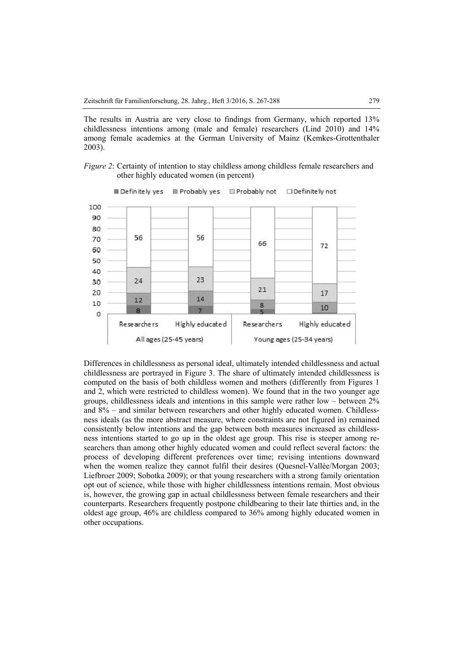The results in Austria are very close to findings from Germany, which reported 13% childlessness intentions among (male and female) researchers (Lind 2010) and 14% among female academics at the German University of Mainz (Kemkes-Grottenthaler 2003).





Definitely yes Probably yes Probably not □ Definitely not

Differences in childlessness as personal ideal, ultimately intended childlessness and actual childlessness are portrayed in Figure 3. The share of ultimately intended childlessness is computed on the basis of both childless women and mothers (differently from Figures 1 and 2, which were restricted to childless women). We found that in the two younger age groups, childlessness ideals and intentions in this sample were rather low – between 2% and 8% – and similar between researchers and other highly educated women. Childlessness ideals (as the more abstract measure, where constraints are not figured in) remained consistently below intentions and the gap between both measures increased as childlessness intentions started to go up in the oldest age group. This rise is steeper among researchers than among other highly educated women and could reflect several factors: the process of developing different preferences over time; revising intentions downward when the women realize they cannot fulfil their desires (Quesnel-Vallée/Morgan 2003; Liefbroer 2009; Sobotka 2009); or that young researchers with a strong family orientation opt out of science, while those with higher childlessness intentions remain. Most obvious is, however, the growing gap in actual childlessness between female researchers and their counterparts. Researchers frequently postpone childbearing to their late thirties and, in the oldest age group, 46% are childless compared to 36% among highly educated women in other occupations.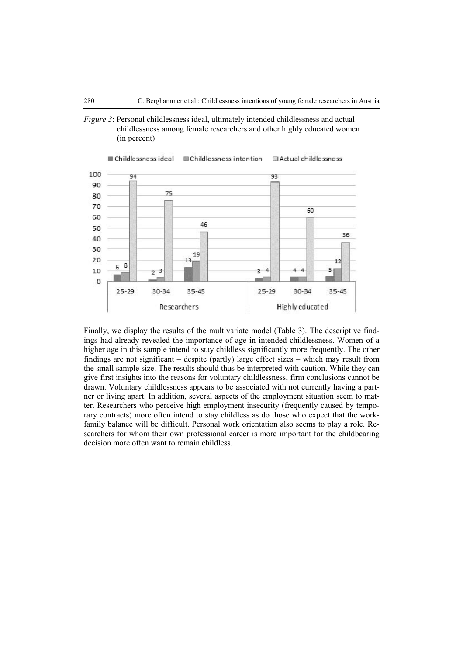*Figure 3*: Personal childlessness ideal, ultimately intended childlessness and actual childlessness among female researchers and other highly educated women (in percent)



Finally, we display the results of the multivariate model (Table 3). The descriptive findings had already revealed the importance of age in intended childlessness. Women of a higher age in this sample intend to stay childless significantly more frequently. The other findings are not significant – despite (partly) large effect sizes – which may result from the small sample size. The results should thus be interpreted with caution. While they can give first insights into the reasons for voluntary childlessness, firm conclusions cannot be drawn. Voluntary childlessness appears to be associated with not currently having a partner or living apart. In addition, several aspects of the employment situation seem to matter. Researchers who perceive high employment insecurity (frequently caused by temporary contracts) more often intend to stay childless as do those who expect that the workfamily balance will be difficult. Personal work orientation also seems to play a role. Researchers for whom their own professional career is more important for the childbearing decision more often want to remain childless.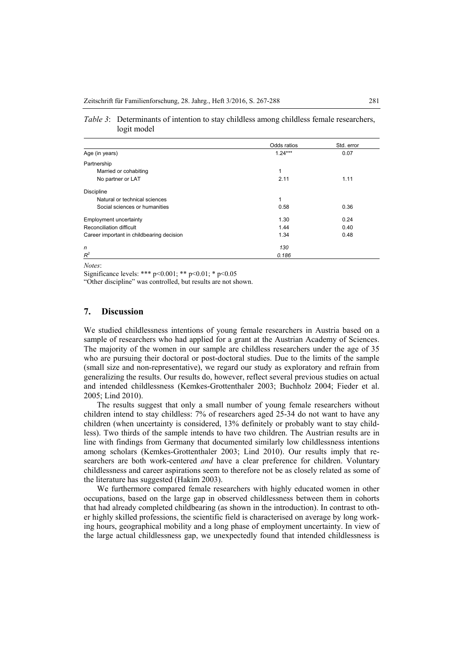|                                           | Odds ratios | Std. error |  |
|-------------------------------------------|-------------|------------|--|
| Age (in years)                            | $1.24***$   | 0.07       |  |
| Partnership                               |             |            |  |
| Married or cohabiting                     | 1           |            |  |
| No partner or LAT                         | 2.11        | 1.11       |  |
| <b>Discipline</b>                         |             |            |  |
| Natural or technical sciences             | 1           |            |  |
| Social sciences or humanities             | 0.58        | 0.36       |  |
| <b>Employment uncertainty</b>             | 1.30        | 0.24       |  |
| Reconciliation difficult                  | 1.44        | 0.40       |  |
| Career important in childbearing decision | 1.34        | 0.48       |  |
| n                                         | 130         |            |  |
| $R^2$                                     | 0.186       |            |  |

| Table 3: Determinants of intention to stay childless among childless female researchers, |
|------------------------------------------------------------------------------------------|
| logit model                                                                              |

*Notes*:

Significance levels: \*\*\*  $p \le 0.001$ ; \*\*  $p \le 0.01$ ; \*  $p \le 0.05$ 

"Other discipline" was controlled, but results are not shown.

#### **7. Discussion**

We studied childlessness intentions of young female researchers in Austria based on a sample of researchers who had applied for a grant at the Austrian Academy of Sciences. The majority of the women in our sample are childless researchers under the age of 35 who are pursuing their doctoral or post-doctoral studies. Due to the limits of the sample (small size and non-representative), we regard our study as exploratory and refrain from generalizing the results. Our results do, however, reflect several previous studies on actual and intended childlessness (Kemkes-Grottenthaler 2003; Buchholz 2004; Fieder et al. 2005; Lind 2010).

The results suggest that only a small number of young female researchers without children intend to stay childless: 7% of researchers aged 25-34 do not want to have any children (when uncertainty is considered, 13% definitely or probably want to stay childless). Two thirds of the sample intends to have two children. The Austrian results are in line with findings from Germany that documented similarly low childlessness intentions among scholars (Kemkes-Grottenthaler 2003; Lind 2010). Our results imply that researchers are both work-centered *and* have a clear preference for children. Voluntary childlessness and career aspirations seem to therefore not be as closely related as some of the literature has suggested (Hakim 2003).

We furthermore compared female researchers with highly educated women in other occupations, based on the large gap in observed childlessness between them in cohorts that had already completed childbearing (as shown in the introduction). In contrast to other highly skilled professions, the scientific field is characterised on average by long working hours, geographical mobility and a long phase of employment uncertainty. In view of the large actual childlessness gap, we unexpectedly found that intended childlessness is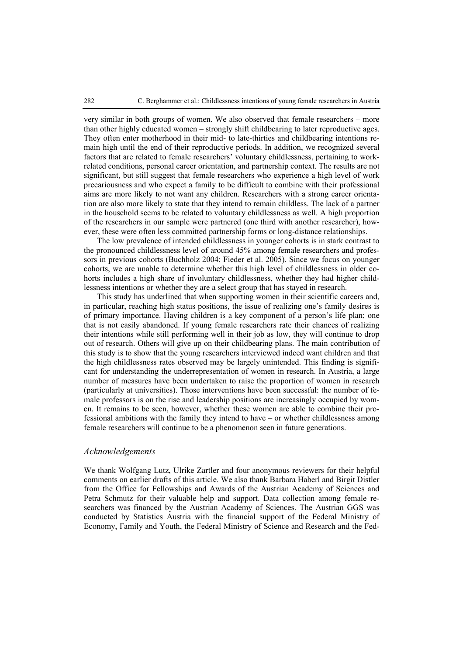very similar in both groups of women. We also observed that female researchers – more than other highly educated women – strongly shift childbearing to later reproductive ages. They often enter motherhood in their mid- to late-thirties and childbearing intentions remain high until the end of their reproductive periods. In addition, we recognized several factors that are related to female researchers' voluntary childlessness, pertaining to workrelated conditions, personal career orientation, and partnership context. The results are not significant, but still suggest that female researchers who experience a high level of work precariousness and who expect a family to be difficult to combine with their professional aims are more likely to not want any children. Researchers with a strong career orientation are also more likely to state that they intend to remain childless. The lack of a partner in the household seems to be related to voluntary childlessness as well. A high proportion of the researchers in our sample were partnered (one third with another researcher), however, these were often less committed partnership forms or long-distance relationships.

The low prevalence of intended childlessness in younger cohorts is in stark contrast to the pronounced childlessness level of around 45% among female researchers and professors in previous cohorts (Buchholz 2004; Fieder et al. 2005). Since we focus on younger cohorts, we are unable to determine whether this high level of childlessness in older cohorts includes a high share of involuntary childlessness, whether they had higher childlessness intentions or whether they are a select group that has stayed in research.

This study has underlined that when supporting women in their scientific careers and, in particular, reaching high status positions, the issue of realizing one's family desires is of primary importance. Having children is a key component of a person's life plan; one that is not easily abandoned. If young female researchers rate their chances of realizing their intentions while still performing well in their job as low, they will continue to drop out of research. Others will give up on their childbearing plans. The main contribution of this study is to show that the young researchers interviewed indeed want children and that the high childlessness rates observed may be largely unintended. This finding is significant for understanding the underrepresentation of women in research. In Austria, a large number of measures have been undertaken to raise the proportion of women in research (particularly at universities). Those interventions have been successful: the number of female professors is on the rise and leadership positions are increasingly occupied by women. It remains to be seen, however, whether these women are able to combine their professional ambitions with the family they intend to have – or whether childlessness among female researchers will continue to be a phenomenon seen in future generations.

#### *Acknowledgements*

We thank Wolfgang Lutz, Ulrike Zartler and four anonymous reviewers for their helpful comments on earlier drafts of this article. We also thank Barbara Haberl and Birgit Distler from the Office for Fellowships and Awards of the Austrian Academy of Sciences and Petra Schmutz for their valuable help and support. Data collection among female researchers was financed by the Austrian Academy of Sciences. The Austrian GGS was conducted by Statistics Austria with the financial support of the Federal Ministry of Economy, Family and Youth, the Federal Ministry of Science and Research and the Fed-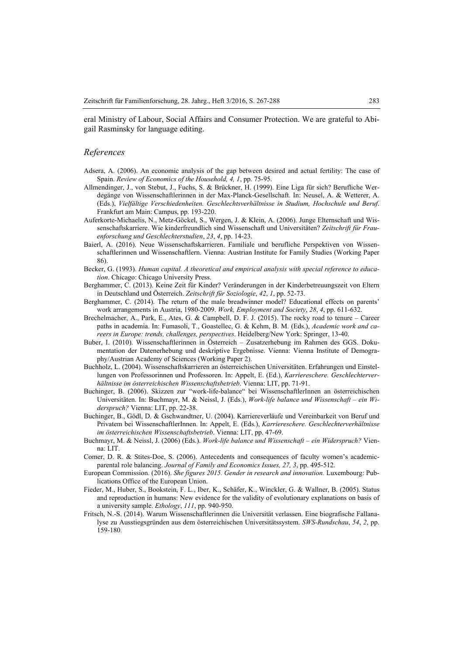#### *References*

- Adsera, A. (2006). An economic analysis of the gap between desired and actual fertility: The case of Spain. *Review of Economics of the Household, 4, 1*, pp. 75-95.
- Allmendinger, J., von Stebut, J., Fuchs, S. & Brückner, H. (1999). Eine Liga für sich? Berufliche Werdegänge von Wissenschaftlerinnen in der Max-Planck-Gesellschaft. In: Neusel, A. & Wetterer, A. (Eds.), *Vielfältige Verschiedenheiten. Geschlechtsverhältnisse in Studium, Hochschule und Beruf*. Frankfurt am Main: Campus, pp. 193-220.
- Auferkorte-Michaelis, N., Metz-Göckel, S., Wergen, J. & Klein, A. (2006). Junge Elternschaft und Wissenschaftskarriere. Wie kinderfreundlich sind Wissenschaft und Universitäten? *Zeitschrift für Frauenforschung und Geschlechterstudien*, *23*, *4*, pp. 14-23.
- Baierl, A. (2016). Neue Wissenschaftskarrieren. Familiale und berufliche Perspektiven von Wissenschaftlerinnen und Wissenschaftlern. Vienna: Austrian Institute for Family Studies (Working Paper 86).
- Becker, G. (1993). *Human capital. A theoretical and empirical analysis with special reference to education*. Chicago: Chicago University Press.
- Berghammer, C. (2013). Keine Zeit für Kinder? Veränderungen in der Kinderbetreuungszeit von Eltern in Deutschland und Österreich. *Zeitschrift für Soziologie*, *42*, *1*, pp. 52-73.
- Berghammer, C. (2014). The return of the male breadwinner model? Educational effects on parents' work arrangements in Austria, 1980-2009. *Work, Employment and Society*, *28*, *4*, pp. 611-632.
- Brechelmacher, A., Park, E., Ates, G. & Campbell, D. F. J. (2015). The rocky road to tenure Career paths in academia. In: Fumasoli, T., Goastellec, G. & Kehm, B. M. (Eds.), *Academic work and careers in Europe: trends, challenges, perspectives*. Heidelberg/New York: Springer, 13-40.
- Buber, I. (2010). Wissenschaftlerinnen in Österreich Zusatzerhebung im Rahmen des GGS. Dokumentation der Datenerhebung und deskriptive Ergebnisse. Vienna: Vienna Institute of Demography/Austrian Academy of Sciences (Working Paper 2).
- Buchholz, L. (2004). Wissenschaftskarrieren an österreichischen Universitäten. Erfahrungen und Einstellungen von Professorinnen und Professoren. In: Appelt, E. (Ed.), *Karriereschere. Geschlechterverhältnisse im österreichischen Wissenschaftsbetrieb*. Vienna: LIT, pp. 71-91.
- Buchinger, B. (2006). Skizzen zur "work-life-balance" bei WissenschaftlerInnen an österreichischen Universitäten. In: Buchmayr, M. & Neissl, J. (Eds.), *Work-life balance und Wissenschaft – ein Widerspruch?* Vienna: LIT, pp. 22-38.
- Buchinger, B., Gödl, D. & Gschwandtner, U. (2004). Karriereverläufe und Vereinbarkeit von Beruf und Privatem bei WissenschaftlerInnen. In: Appelt, E. (Eds.), *Karriereschere. Geschlechterverhältnisse im österreichischen Wissenschaftsbetrieb*. Vienna: LIT, pp. 47-69.
- Buchmayr, M. & Neissl, J. (2006) (Eds.). *Work-life balance und Wissenschaft ein Widerspruch?* Vienna: LIT.
- Comer, D. R. & Stites-Doe, S. (2006). Antecedents and consequences of faculty women's academicparental role balancing. *Journal of Family and Economics Issues, 27, 3*, pp. 495-512.
- European Commission. (2016). *She figures 2015. Gender in research and innovation.* Luxembourg: Publications Office of the European Union.
- Fieder, M., Huber, S., Bookstein, F. L., Iber, K., Schäfer, K., Winckler, G. & Wallner, B. (2005). Status and reproduction in humans: New evidence for the validity of evolutionary explanations on basis of a university sample. *Ethology*, *111*, pp. 940-950.
- Fritsch, N.-S. (2014). Warum Wissenschaftlerinnen die Universität verlassen. Eine biografische Fallanalyse zu Ausstiegsgründen aus dem österreichischen Universitätssystem. *SWS-Rundschau*, *54*, *2*, pp. 159-180.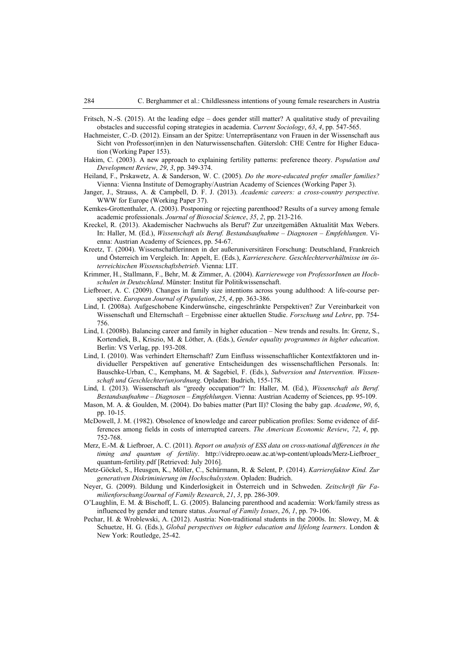- Fritsch, N.-S. (2015). At the leading edge does gender still matter? A qualitative study of prevailing obstacles and successful coping strategies in academia. *Current Sociology*, *63*, *4*, pp. 547-565.
- Hachmeister, C.-D. (2012). Einsam an der Spitze: Unterrepräsentanz von Frauen in der Wissenschaft aus Sicht von Professor(inn)en in den Naturwissenschaften. Gütersloh: CHE Centre for Higher Education (Working Paper 153).
- Hakim, C. (2003). A new approach to explaining fertility patterns: preference theory. *Population and Development Review*, *29*, *3*, pp. 349-374.
- Heiland, F., Prskawetz, A. & Sanderson, W. C. (2005). *Do the more-educated prefer smaller families?* Vienna: Vienna Institute of Demography/Austrian Academy of Sciences (Working Paper 3).
- Janger, J., Strauss, A. & Campbell, D. F. J. (2013). *Academic careers: a cross-country perspective*. WWW for Europe (Working Paper 37).
- Kemkes-Grottenthaler, A. (2003). Postponing or rejecting parenthood? Results of a survey among female academic professionals. *Journal of Biosocial Science*, *35*, *2*, pp. 213-216.
- Kreckel, R. (2013). Akademischer Nachwuchs als Beruf? Zur unzeitgemäßen Aktualität Max Webers. In: Haller, M. (Ed.), *Wissenschaft als Beruf. Bestandsaufnahme – Diagnosen – Empfehlungen*. Vienna: Austrian Academy of Sciences, pp. 54-67.
- Kreetz, T. (2004). Wissenschaftlerinnen in der außeruniversitären Forschung: Deutschland, Frankreich und Österreich im Vergleich. In: Appelt, E. (Eds.), *Karriereschere. Geschlechterverhältnisse im österreichischen Wissenschaftsbetrieb*. Vienna: LIT.
- Krimmer, H., Stallmann, F., Behr, M. & Zimmer, A. (2004). *Karrierewege von ProfessorInnen an Hochschulen in Deutschland*. Münster: Institut für Politikwissenschaft.
- Liefbroer, A. C. (2009). Changes in family size intentions across young adulthood: A life-course perspective. *European Journal of Population*, *25*, *4*, pp. 363-386.
- Lind, I. (2008a). Aufgeschobene Kinderwünsche, eingeschränkte Perspektiven? Zur Vereinbarkeit von Wissenschaft und Elternschaft – Ergebnisse einer aktuellen Studie. *Forschung und Lehre*, pp. 754- 756.
- Lind, I. (2008b). Balancing career and family in higher education New trends and results. In: Grenz, S., Kortendiek, B., Kriszio, M. & Löther, A. (Eds.), *Gender equality programmes in higher education*. Berlin: VS Verlag, pp. 193-208.
- Lind, I. (2010). Was verhindert Elternschaft? Zum Einfluss wissenschaftlicher Kontextfaktoren und individueller Perspektiven auf generative Entscheidungen des wissenschaftlichen Personals. In: Bauschke-Urban, C., Kemphans, M. & Sagebiel, F. (Eds.), *Subversion und Intervention. Wissenschaft und Geschlechter(un)ordnung*. Opladen: Budrich, 155-178.
- Lind, I. (2013). Wissenschaft als "greedy occupation"? In: Haller, M. (Ed.), *Wissenschaft als Beruf. Bestandsaufnahme – Diagnosen – Empfehlungen*. Vienna: Austrian Academy of Sciences, pp. 95-109.
- Mason, M. A. & Goulden, M. (2004). Do babies matter (Part II)? Closing the baby gap. *Academe*, *90*, *6*, pp. 10-15.
- McDowell, J. M. (1982). Obsolence of knowledge and career publication profiles: Some evidence of differences among fields in costs of interrupted careers. *The American Economic Review*, *72*, *4*, pp. 752-768.
- Merz, E.-M. & Liefbroer, A. C. (2011). *Report on analysis of ESS data on cross-national differences in the timing and quantum of fertility*. [http://vidrepro.oeaw.ac.at/wp-content/uploads/Merz-Liefbroer\\_](http://vidrepro.oeaw.ac.at/wp-content/uploads/Merz-Liefbroer_)  quantum-fertility.pdf [Retrieved: July 2016].
- Metz-Göckel, S., Heusgen, K., Möller, C., Schürmann, R. & Selent, P. (2014). *Karrierefaktor Kind. Zur generativen Diskriminierung im Hochschulsystem*. Opladen: Budrich.
- Neyer, G. (2009). Bildung und Kinderlosigkeit in Österreich und in Schweden. *Zeitschrift für Familienforschung/Journal of Family Research*, *21*, *3*, pp. 286-309.
- O'Laughlin, E. M. & Bischoff, L. G. (2005). Balancing parenthood and academia: Work/family stress as influenced by gender and tenure status. *Journal of Family Issues*, *26*, *1*, pp. 79-106.
- Pechar, H. & Wroblewski, A. (2012). Austria: Non-traditional students in the 2000s. In: Slowey, M. & Schuetze, H. G. (Eds.), *Global perspectives on higher education and lifelong learners*. London & New York: Routledge, 25-42.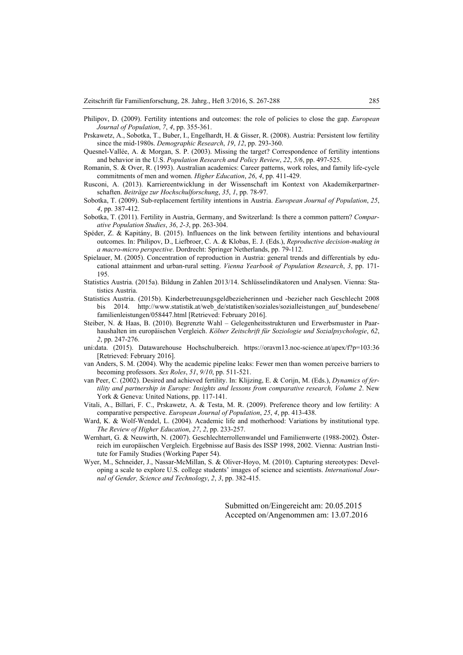- Philipov, D. (2009). Fertility intentions and outcomes: the role of policies to close the gap. *European Journal of Population*, *7*, *4*, pp. 355-361.
- Prskawetz, A., Sobotka, T., Buber, I., Engelhardt, H. & Gisser, R. (2008). Austria: Persistent low fertility since the mid-1980s. *Demographic Research*, *19*, *12*, pp. 293-360.
- Quesnel-Vallée, A. & Morgan, S. P. (2003). Missing the target? Correspondence of fertility intentions and behavior in the U.S. *Population Research and Policy Review*, *22*, *5/6*, pp. 497-525.
- Romanin, S. & Over, R. (1993). Australian academics: Career patterns, work roles, and family life-cycle commitments of men and women. *Higher Education*, *26*, *4*, pp. 411-429.
- Rusconi, A. (2013). Karriereentwicklung in der Wissenschaft im Kontext von Akademikerpartnerschaften. *Beiträge zur Hochschulforschung*, *35*, *1*, pp. 78-97.
- Sobotka, T. (2009). Sub-replacement fertility intentions in Austria. *European Journal of Population*, *25*, *4*, pp. 387-412.
- Sobotka, T. (2011). Fertility in Austria, Germany, and Switzerland: Is there a common pattern? *Comparative Population Studies*, *36*, *2-3*, pp. 263-304.
- Spéder, Z. & Kapitány, B. (2015). Influences on the link between fertility intentions and behavioural outcomes. In: Philipov, D., Liefbroer, C. A. & Klobas, E. J. (Eds.), *Reproductive decision-making in a macro-micro perspective*. Dordrecht: Springer Netherlands, pp. 79-112.
- Spielauer, M. (2005). Concentration of reproduction in Austria: general trends and differentials by educational attainment and urban-rural setting. *Vienna Yearbook of Population Research*, *3*, pp. 171- 195.
- Statistics Austria. (2015a). Bildung in Zahlen 2013/14. Schlüsselindikatoren und Analysen. Vienna: Statistics Austria.
- Statistics Austria. (2015b). Kinderbetreuungsgeldbezieherinnen und -bezieher nach Geschlecht 2008 bis 2014. http://www.statistik.at/web de/statistiken/soziales/sozialleistungen auf bundesebene/ familienleistungen/058447.html [Retrieved: February 2016].
- Steiber, N. & Haas, B. (2010). Begrenzte Wahl Gelegenheitsstrukturen und Erwerbsmuster in Paarhaushalten im europäischen Vergleich. *Kölner Zeitschrift für Soziologie und Sozialpsychologie*, *62*, *2*, pp. 247-276.
- uni:data. (2015). Datawarehouse Hochschulbereich. <https://oravm13.noc-science.at/apex/f?p=103:36> [Retrieved: February 2016].
- van Anders, S. M. (2004). Why the academic pipeline leaks: Fewer men than women perceive barriers to becoming professors. *Sex Roles*, *51*, *9/10*, pp. 511-521.
- van Peer, C. (2002). Desired and achieved fertility. In: Klijzing, E. & Corijn, M. (Eds.), *Dynamics of fertility and partnership in Europe: Insights and lessons from comparative research, Volume 2*. New York & Geneva: United Nations, pp. 117-141.
- Vitali, A., Billari, F. C., Prskawetz, A. & Testa, M. R. (2009). Preference theory and low fertility: A comparative perspective. *European Journal of Population*, *25*, *4*, pp. 413-438.
- Ward, K. & Wolf-Wendel, L. (2004). Academic life and motherhood: Variations by institutional type. *The Review of Higher Education*, *27*, *2*, pp. 233-257.
- Wernhart, G. & Neuwirth, N. (2007). Geschlechterrollenwandel und Familienwerte (1988-2002). Österreich im europäischen Vergleich. Ergebnisse auf Basis des ISSP 1998, 2002. Vienna: Austrian Institute for Family Studies (Working Paper 54).
- Wyer, M., Schneider, J., Nassar-McMillan, S. & Oliver-Hoyo, M. (2010). Capturing stereotypes: Developing a scale to explore U.S. college students' images of science and scientists. *International Journal of Gender, Science and Technology*, *2*, *3*, pp. 382-415.

Submitted on/Eingereicht am: 20.05.2015 Accepted on/Angenommen am: 13.07.2016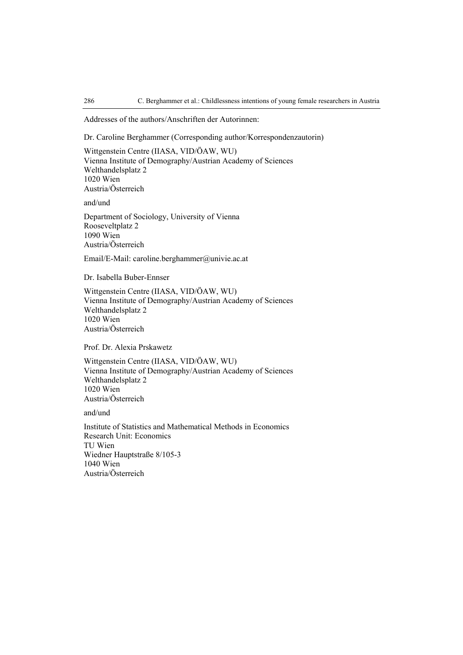Addresses of the authors/Anschriften der Autorinnen:

Dr. Caroline Berghammer (Corresponding author/Korrespondenzautorin)

Wittgenstein Centre (IIASA, VID/ÖAW, WU) Vienna Institute of Demography/Austrian Academy of Sciences Welthandelsplatz 2 1020 Wien Austria/Österreich

and/und

Department of Sociology, University of Vienna Rooseveltplatz 2 1090 Wien Austria/Österreich

Email/E-Mail: [caroline.berghammer@univie.ac.at](mailto:caroline.berghammer@univie.ac.at) 

Dr. Isabella Buber-Ennser

Wittgenstein Centre (IIASA, VID/ÖAW, WU) Vienna Institute of Demography/Austrian Academy of Sciences Welthandelsplatz 2 1020 Wien Austria/Österreich

Prof. Dr. Alexia Prskawetz

Wittgenstein Centre (IIASA, VID/ÖAW, WU) Vienna Institute of Demography/Austrian Academy of Sciences Welthandelsplatz 2 1020 Wien Austria/Österreich

and/und

Institute of Statistics and Mathematical Methods in Economics Research Unit: Economics TU Wien Wiedner Hauptstraße 8/105-3 1040 Wien Austria/Österreich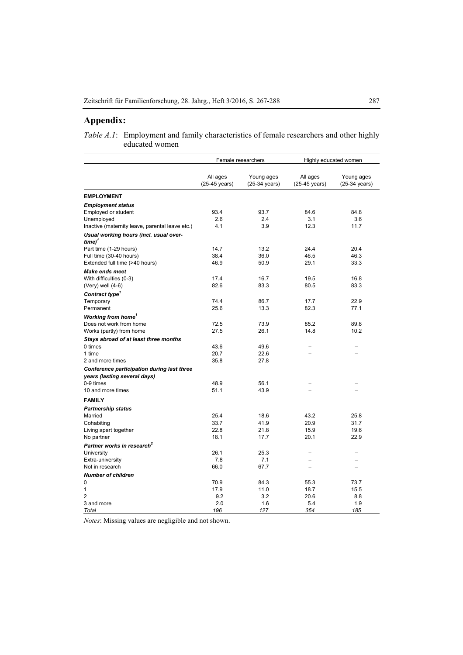## **Appendix:**

*Table A.1*: Employment and family characteristics of female researchers and other highly educated women

|                                                                            | Female researchers                  |                             | Highly educated women     |                                       |
|----------------------------------------------------------------------------|-------------------------------------|-----------------------------|---------------------------|---------------------------------------|
|                                                                            | All ages<br>$(25-45 \text{ years})$ | Young ages<br>(25-34 years) | All ages<br>(25-45 years) | Young ages<br>$(25-34 \text{ years})$ |
| <b>EMPLOYMENT</b>                                                          |                                     |                             |                           |                                       |
| <b>Employment status</b>                                                   |                                     |                             |                           |                                       |
| Employed or student                                                        | 93.4                                | 93.7                        | 84.6                      | 84.8                                  |
| Unemployed                                                                 | 2.6                                 | 2.4                         | 3.1                       | 3.6                                   |
| Inactive (maternity leave, parental leave etc.)                            | 4.1                                 | 3.9                         | 12.3                      | 11.7                                  |
| Usual working hours (incl. usual over-<br>$time)^T$                        |                                     |                             |                           |                                       |
| Part time (1-29 hours)                                                     | 14.7                                | 13.2                        | 24.4                      | 20.4                                  |
| Full time (30-40 hours)                                                    | 38.4                                | 36.0                        | 46.5                      | 46.3                                  |
| Extended full time (>40 hours)                                             | 46.9                                | 50.9                        | 29.1                      | 33.3                                  |
| <b>Make ends meet</b>                                                      |                                     |                             |                           |                                       |
| With difficulties (0-3)                                                    | 17.4                                | 16.7                        | 19.5                      | 16.8                                  |
| (Very) well (4-6)                                                          | 82.6                                | 83.3                        | 80.5                      | 83.3                                  |
| Contract type <sup>1</sup>                                                 |                                     |                             |                           |                                       |
| Temporary                                                                  | 74.4                                | 86.7                        | 17.7                      | 22.9                                  |
| Permanent                                                                  | 25.6                                | 13.3                        | 82.3                      | 77.1                                  |
| <b>Working from home'</b>                                                  |                                     |                             |                           |                                       |
| Does not work from home                                                    | 72.5                                | 73.9                        | 85.2                      | 89.8                                  |
| Works (partly) from home                                                   | 27.5                                | 26.1                        | 14.8                      | 10.2                                  |
| Stays abroad of at least three months                                      |                                     |                             |                           |                                       |
| 0 times                                                                    | 43.6                                | 49.6                        |                           |                                       |
| 1 time                                                                     | 20.7                                | 22.6                        | L,                        |                                       |
| 2 and more times                                                           | 35.8                                | 27.8                        |                           |                                       |
| Conference participation during last three<br>years (lasting several days) |                                     |                             |                           |                                       |
| 0-9 times                                                                  | 48.9                                | 56.1                        |                           |                                       |
| 10 and more times                                                          | 51.1                                | 43.9                        | $\overline{\phantom{0}}$  |                                       |
| <b>FAMILY</b>                                                              |                                     |                             |                           |                                       |
| <b>Partnership status</b>                                                  |                                     |                             |                           |                                       |
| Married                                                                    | 25.4                                | 18.6                        | 43.2                      | 25.8                                  |
| Cohabiting                                                                 | 33.7                                | 41.9                        | 20.9                      | 31.7                                  |
| Living apart together                                                      | 22.8                                | 21.8                        | 15.9                      | 19.6                                  |
| No partner                                                                 | 18.1                                | 17.7                        | 20.1                      | 22.9                                  |
| Partner works in research <sup>2</sup>                                     |                                     |                             |                           |                                       |
| University                                                                 | 26.1                                | 25.3                        | ÷                         | $=$                                   |
| Extra-university                                                           | 7.8                                 | 7.1                         | $\overline{a}$            |                                       |
| Not in research                                                            | 66.0                                | 67.7                        | -                         |                                       |
| <b>Number of children</b>                                                  |                                     |                             |                           |                                       |
| 0                                                                          | 70.9                                | 84.3                        | 55.3                      | 73.7                                  |
| 1<br>$\overline{2}$                                                        | 17.9<br>9.2                         | 11.0<br>3.2                 | 18.7<br>20.6              | 15.5                                  |
| 3 and more                                                                 | 2.0                                 | 1.6                         | 5.4                       | 8.8<br>1.9                            |
| Total                                                                      | 196                                 | 127                         | 354                       | 185                                   |

*Notes*: Missing values are negligible and not shown.